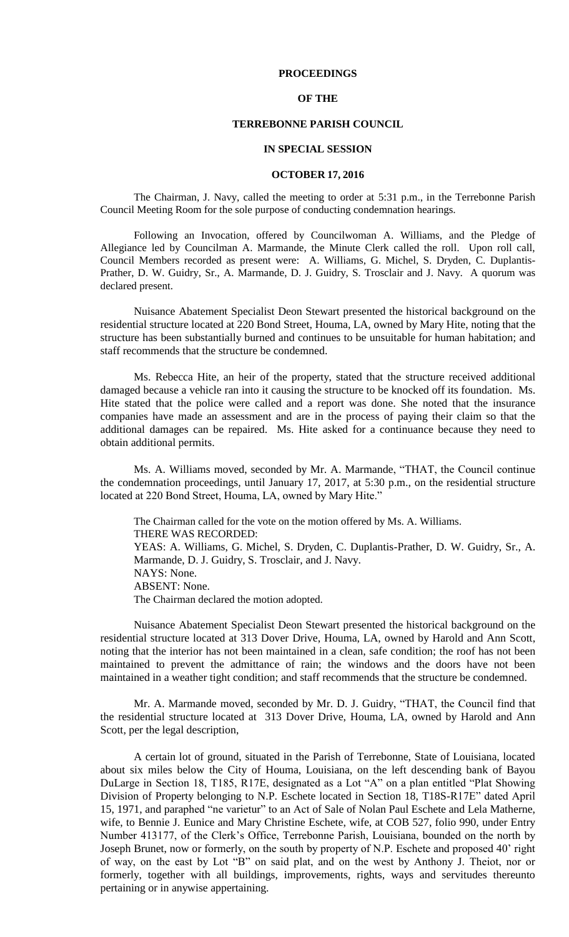## **PROCEEDINGS**

## **OF THE**

# **TERREBONNE PARISH COUNCIL**

#### **IN SPECIAL SESSION**

### **OCTOBER 17, 2016**

The Chairman, J. Navy, called the meeting to order at 5:31 p.m., in the Terrebonne Parish Council Meeting Room for the sole purpose of conducting condemnation hearings.

Following an Invocation, offered by Councilwoman A. Williams, and the Pledge of Allegiance led by Councilman A. Marmande, the Minute Clerk called the roll. Upon roll call, Council Members recorded as present were: A. Williams, G. Michel, S. Dryden, C. Duplantis-Prather, D. W. Guidry, Sr., A. Marmande, D. J. Guidry, S. Trosclair and J. Navy. A quorum was declared present.

Nuisance Abatement Specialist Deon Stewart presented the historical background on the residential structure located at 220 Bond Street, Houma, LA, owned by Mary Hite, noting that the structure has been substantially burned and continues to be unsuitable for human habitation; and staff recommends that the structure be condemned.

Ms. Rebecca Hite, an heir of the property, stated that the structure received additional damaged because a vehicle ran into it causing the structure to be knocked off its foundation. Ms. Hite stated that the police were called and a report was done. She noted that the insurance companies have made an assessment and are in the process of paying their claim so that the additional damages can be repaired. Ms. Hite asked for a continuance because they need to obtain additional permits.

Ms. A. Williams moved, seconded by Mr. A. Marmande, "THAT, the Council continue the condemnation proceedings, until January 17, 2017, at 5:30 p.m., on the residential structure located at 220 Bond Street, Houma, LA, owned by Mary Hite."

The Chairman called for the vote on the motion offered by Ms. A. Williams. THERE WAS RECORDED: YEAS: A. Williams, G. Michel, S. Dryden, C. Duplantis-Prather, D. W. Guidry, Sr., A. Marmande, D. J. Guidry, S. Trosclair, and J. Navy. NAYS: None. ABSENT: None. The Chairman declared the motion adopted.

Nuisance Abatement Specialist Deon Stewart presented the historical background on the residential structure located at 313 Dover Drive, Houma, LA, owned by Harold and Ann Scott, noting that the interior has not been maintained in a clean, safe condition; the roof has not been maintained to prevent the admittance of rain; the windows and the doors have not been maintained in a weather tight condition; and staff recommends that the structure be condemned.

Mr. A. Marmande moved, seconded by Mr. D. J. Guidry, "THAT, the Council find that the residential structure located at 313 Dover Drive, Houma, LA, owned by Harold and Ann Scott, per the legal description,

A certain lot of ground, situated in the Parish of Terrebonne, State of Louisiana, located about six miles below the City of Houma, Louisiana, on the left descending bank of Bayou DuLarge in Section 18, T185, R17E, designated as a Lot "A" on a plan entitled "Plat Showing Division of Property belonging to N.P. Eschete located in Section 18, T18S-R17E" dated April 15, 1971, and paraphed "ne varietur" to an Act of Sale of Nolan Paul Eschete and Lela Matherne, wife, to Bennie J. Eunice and Mary Christine Eschete, wife, at COB 527, folio 990, under Entry Number 413177, of the Clerk's Office, Terrebonne Parish, Louisiana, bounded on the north by Joseph Brunet, now or formerly, on the south by property of N.P. Eschete and proposed 40' right of way, on the east by Lot "B" on said plat, and on the west by Anthony J. Theiot, nor or formerly, together with all buildings, improvements, rights, ways and servitudes thereunto pertaining or in anywise appertaining.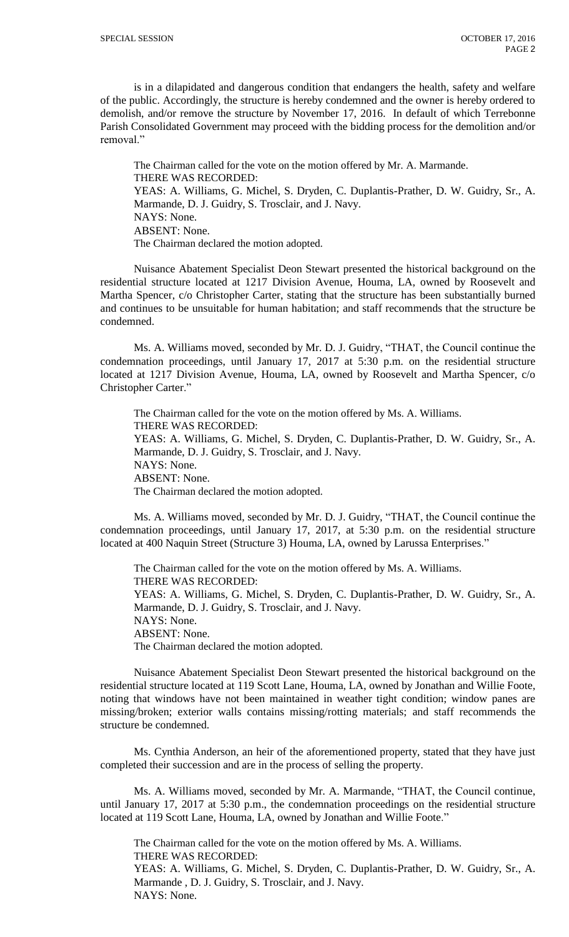is in a dilapidated and dangerous condition that endangers the health, safety and welfare of the public. Accordingly, the structure is hereby condemned and the owner is hereby ordered to demolish, and/or remove the structure by November 17, 2016. In default of which Terrebonne Parish Consolidated Government may proceed with the bidding process for the demolition and/or removal."

The Chairman called for the vote on the motion offered by Mr. A. Marmande. THERE WAS RECORDED: YEAS: A. Williams, G. Michel, S. Dryden, C. Duplantis-Prather, D. W. Guidry, Sr., A. Marmande, D. J. Guidry, S. Trosclair, and J. Navy. NAYS: None. ABSENT: None. The Chairman declared the motion adopted.

Nuisance Abatement Specialist Deon Stewart presented the historical background on the residential structure located at 1217 Division Avenue, Houma, LA, owned by Roosevelt and Martha Spencer, c/o Christopher Carter, stating that the structure has been substantially burned and continues to be unsuitable for human habitation; and staff recommends that the structure be condemned.

Ms. A. Williams moved, seconded by Mr. D. J. Guidry, "THAT, the Council continue the condemnation proceedings, until January 17, 2017 at 5:30 p.m. on the residential structure located at 1217 Division Avenue, Houma, LA, owned by Roosevelt and Martha Spencer, c/o Christopher Carter."

The Chairman called for the vote on the motion offered by Ms. A. Williams. THERE WAS RECORDED: YEAS: A. Williams, G. Michel, S. Dryden, C. Duplantis-Prather, D. W. Guidry, Sr., A. Marmande, D. J. Guidry, S. Trosclair, and J. Navy. NAYS: None. ABSENT: None. The Chairman declared the motion adopted.

Ms. A. Williams moved, seconded by Mr. D. J. Guidry, "THAT, the Council continue the condemnation proceedings, until January 17, 2017, at 5:30 p.m. on the residential structure located at 400 Naquin Street (Structure 3) Houma, LA, owned by Larussa Enterprises."

The Chairman called for the vote on the motion offered by Ms. A. Williams. THERE WAS RECORDED: YEAS: A. Williams, G. Michel, S. Dryden, C. Duplantis-Prather, D. W. Guidry, Sr., A. Marmande, D. J. Guidry, S. Trosclair, and J. Navy. NAYS: None. ABSENT: None. The Chairman declared the motion adopted.

Nuisance Abatement Specialist Deon Stewart presented the historical background on the residential structure located at 119 Scott Lane, Houma, LA, owned by Jonathan and Willie Foote, noting that windows have not been maintained in weather tight condition; window panes are missing/broken; exterior walls contains missing/rotting materials; and staff recommends the structure be condemned.

Ms. Cynthia Anderson, an heir of the aforementioned property, stated that they have just completed their succession and are in the process of selling the property.

Ms. A. Williams moved, seconded by Mr. A. Marmande, "THAT, the Council continue, until January 17, 2017 at 5:30 p.m., the condemnation proceedings on the residential structure located at 119 Scott Lane, Houma, LA, owned by Jonathan and Willie Foote."

The Chairman called for the vote on the motion offered by Ms. A. Williams. THERE WAS RECORDED: YEAS: A. Williams, G. Michel, S. Dryden, C. Duplantis-Prather, D. W. Guidry, Sr., A. Marmande , D. J. Guidry, S. Trosclair, and J. Navy. NAYS: None.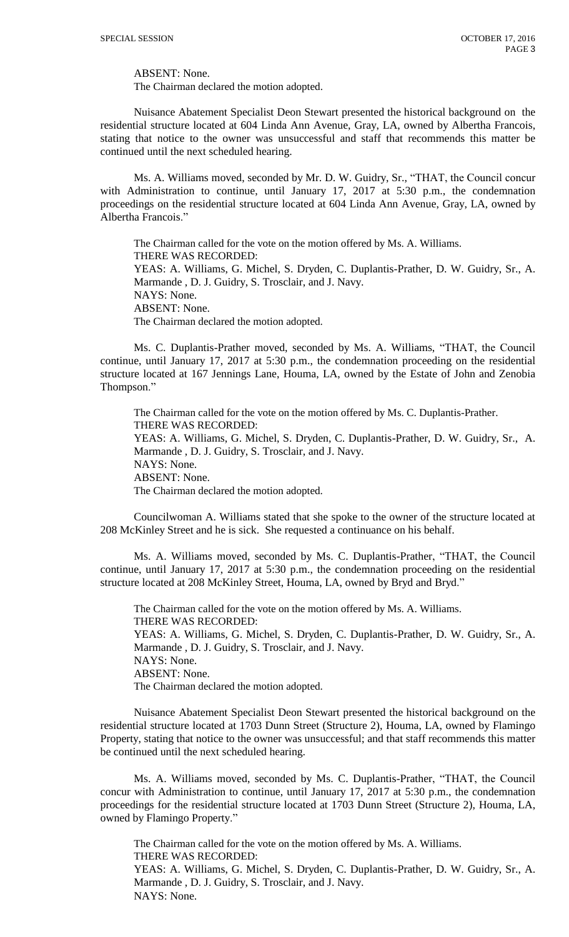ABSENT: None.

The Chairman declared the motion adopted.

Nuisance Abatement Specialist Deon Stewart presented the historical background on the residential structure located at 604 Linda Ann Avenue, Gray, LA, owned by Albertha Francois, stating that notice to the owner was unsuccessful and staff that recommends this matter be continued until the next scheduled hearing.

Ms. A. Williams moved, seconded by Mr. D. W. Guidry, Sr., "THAT, the Council concur with Administration to continue, until January 17, 2017 at 5:30 p.m., the condemnation proceedings on the residential structure located at 604 Linda Ann Avenue, Gray, LA, owned by Albertha Francois."

The Chairman called for the vote on the motion offered by Ms. A. Williams. THERE WAS RECORDED: YEAS: A. Williams, G. Michel, S. Dryden, C. Duplantis-Prather, D. W. Guidry, Sr., A. Marmande , D. J. Guidry, S. Trosclair, and J. Navy. NAYS: None. ABSENT: None. The Chairman declared the motion adopted.

Ms. C. Duplantis-Prather moved, seconded by Ms. A. Williams, "THAT, the Council continue, until January 17, 2017 at 5:30 p.m., the condemnation proceeding on the residential structure located at 167 Jennings Lane, Houma, LA, owned by the Estate of John and Zenobia Thompson."

The Chairman called for the vote on the motion offered by Ms. C. Duplantis-Prather. THERE WAS RECORDED: YEAS: A. Williams, G. Michel, S. Dryden, C. Duplantis-Prather, D. W. Guidry, Sr., A. Marmande , D. J. Guidry, S. Trosclair, and J. Navy. NAYS: None. ABSENT: None. The Chairman declared the motion adopted.

Councilwoman A. Williams stated that she spoke to the owner of the structure located at 208 McKinley Street and he is sick. She requested a continuance on his behalf.

Ms. A. Williams moved, seconded by Ms. C. Duplantis-Prather, "THAT, the Council continue, until January 17, 2017 at 5:30 p.m., the condemnation proceeding on the residential structure located at 208 McKinley Street, Houma, LA, owned by Bryd and Bryd."

The Chairman called for the vote on the motion offered by Ms. A. Williams. THERE WAS RECORDED: YEAS: A. Williams, G. Michel, S. Dryden, C. Duplantis-Prather, D. W. Guidry, Sr., A. Marmande , D. J. Guidry, S. Trosclair, and J. Navy. NAYS: None. ABSENT: None. The Chairman declared the motion adopted.

Nuisance Abatement Specialist Deon Stewart presented the historical background on the residential structure located at 1703 Dunn Street (Structure 2), Houma, LA, owned by Flamingo Property, stating that notice to the owner was unsuccessful; and that staff recommends this matter be continued until the next scheduled hearing.

Ms. A. Williams moved, seconded by Ms. C. Duplantis-Prather, "THAT, the Council concur with Administration to continue, until January 17, 2017 at 5:30 p.m., the condemnation proceedings for the residential structure located at 1703 Dunn Street (Structure 2), Houma, LA, owned by Flamingo Property."

The Chairman called for the vote on the motion offered by Ms. A. Williams. THERE WAS RECORDED: YEAS: A. Williams, G. Michel, S. Dryden, C. Duplantis-Prather, D. W. Guidry, Sr., A. Marmande , D. J. Guidry, S. Trosclair, and J. Navy. NAYS: None.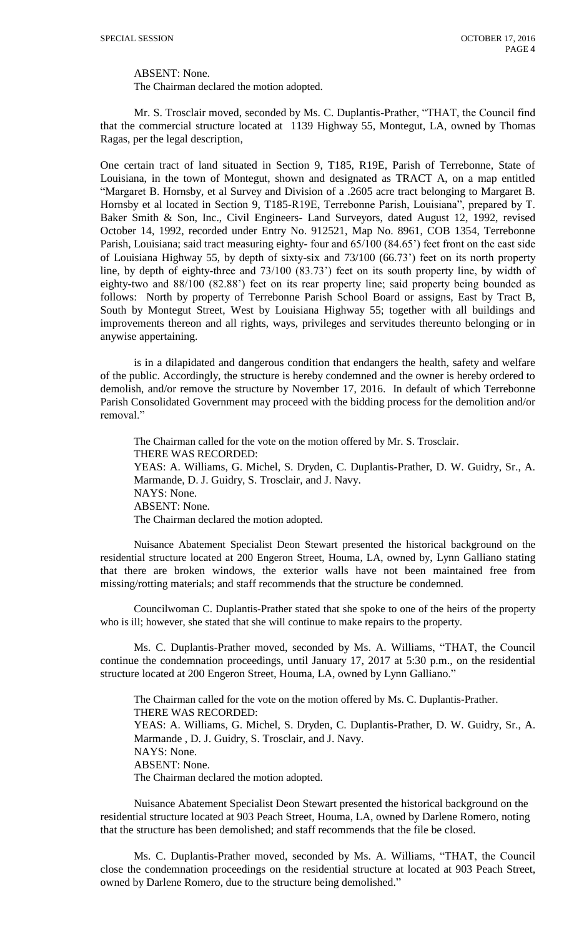ABSENT: None.

The Chairman declared the motion adopted.

Mr. S. Trosclair moved, seconded by Ms. C. Duplantis-Prather, "THAT, the Council find that the commercial structure located at 1139 Highway 55, Montegut, LA, owned by Thomas Ragas, per the legal description,

One certain tract of land situated in Section 9, T185, R19E, Parish of Terrebonne, State of Louisiana, in the town of Montegut, shown and designated as TRACT A, on a map entitled "Margaret B. Hornsby, et al Survey and Division of a .2605 acre tract belonging to Margaret B. Hornsby et al located in Section 9, T185-R19E, Terrebonne Parish, Louisiana", prepared by T. Baker Smith & Son, Inc., Civil Engineers- Land Surveyors, dated August 12, 1992, revised October 14, 1992, recorded under Entry No. 912521, Map No. 8961, COB 1354, Terrebonne Parish, Louisiana; said tract measuring eighty- four and 65/100 (84.65') feet front on the east side of Louisiana Highway 55, by depth of sixty-six and 73/100 (66.73') feet on its north property line, by depth of eighty-three and 73/100 (83.73') feet on its south property line, by width of eighty-two and 88/100 (82.88') feet on its rear property line; said property being bounded as follows: North by property of Terrebonne Parish School Board or assigns, East by Tract B, South by Montegut Street, West by Louisiana Highway 55; together with all buildings and improvements thereon and all rights, ways, privileges and servitudes thereunto belonging or in anywise appertaining.

is in a dilapidated and dangerous condition that endangers the health, safety and welfare of the public. Accordingly, the structure is hereby condemned and the owner is hereby ordered to demolish, and/or remove the structure by November 17, 2016. In default of which Terrebonne Parish Consolidated Government may proceed with the bidding process for the demolition and/or removal."

The Chairman called for the vote on the motion offered by Mr. S. Trosclair. THERE WAS RECORDED: YEAS: A. Williams, G. Michel, S. Dryden, C. Duplantis-Prather, D. W. Guidry, Sr., A. Marmande, D. J. Guidry, S. Trosclair, and J. Navy. NAYS: None. ABSENT: None. The Chairman declared the motion adopted.

Nuisance Abatement Specialist Deon Stewart presented the historical background on the residential structure located at 200 Engeron Street, Houma, LA, owned by, Lynn Galliano stating that there are broken windows, the exterior walls have not been maintained free from missing/rotting materials; and staff recommends that the structure be condemned.

Councilwoman C. Duplantis-Prather stated that she spoke to one of the heirs of the property who is ill; however, she stated that she will continue to make repairs to the property.

Ms. C. Duplantis-Prather moved, seconded by Ms. A. Williams, "THAT, the Council continue the condemnation proceedings, until January 17, 2017 at 5:30 p.m., on the residential structure located at 200 Engeron Street, Houma, LA, owned by Lynn Galliano."

The Chairman called for the vote on the motion offered by Ms. C. Duplantis-Prather. THERE WAS RECORDED: YEAS: A. Williams, G. Michel, S. Dryden, C. Duplantis-Prather, D. W. Guidry, Sr., A. Marmande , D. J. Guidry, S. Trosclair, and J. Navy. NAYS: None. ABSENT: None. The Chairman declared the motion adopted.

Nuisance Abatement Specialist Deon Stewart presented the historical background on the residential structure located at 903 Peach Street, Houma, LA, owned by Darlene Romero, noting that the structure has been demolished; and staff recommends that the file be closed.

Ms. C. Duplantis-Prather moved, seconded by Ms. A. Williams, "THAT, the Council close the condemnation proceedings on the residential structure at located at 903 Peach Street, owned by Darlene Romero, due to the structure being demolished."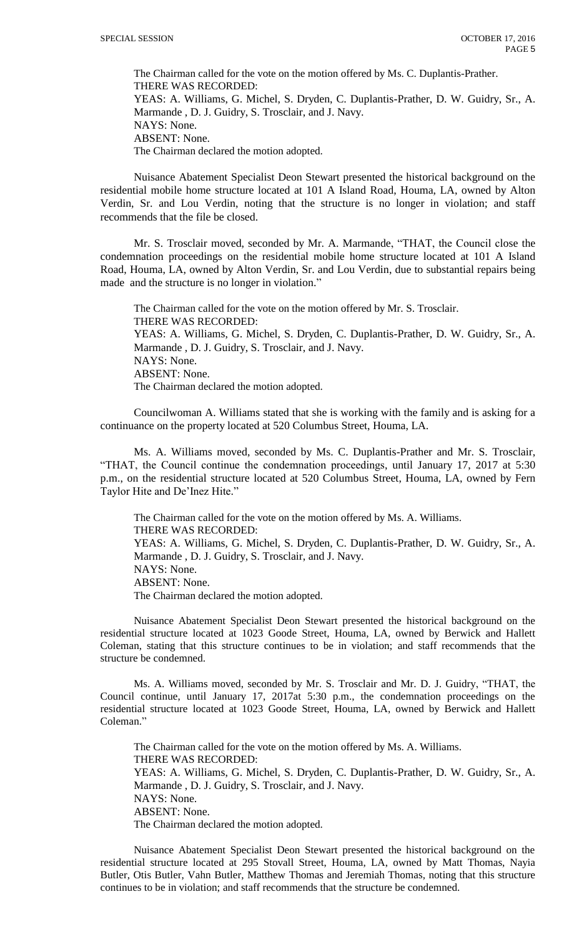The Chairman called for the vote on the motion offered by Ms. C. Duplantis-Prather. THERE WAS RECORDED: YEAS: A. Williams, G. Michel, S. Dryden, C. Duplantis-Prather, D. W. Guidry, Sr., A. Marmande , D. J. Guidry, S. Trosclair, and J. Navy. NAYS: None. ABSENT: None. The Chairman declared the motion adopted.

Nuisance Abatement Specialist Deon Stewart presented the historical background on the residential mobile home structure located at 101 A Island Road, Houma, LA, owned by Alton Verdin, Sr. and Lou Verdin, noting that the structure is no longer in violation; and staff recommends that the file be closed.

Mr. S. Trosclair moved, seconded by Mr. A. Marmande, "THAT, the Council close the condemnation proceedings on the residential mobile home structure located at 101 A Island Road, Houma, LA, owned by Alton Verdin, Sr. and Lou Verdin, due to substantial repairs being made and the structure is no longer in violation."

The Chairman called for the vote on the motion offered by Mr. S. Trosclair. THERE WAS RECORDED: YEAS: A. Williams, G. Michel, S. Dryden, C. Duplantis-Prather, D. W. Guidry, Sr., A. Marmande , D. J. Guidry, S. Trosclair, and J. Navy. NAYS: None. ABSENT: None. The Chairman declared the motion adopted.

Councilwoman A. Williams stated that she is working with the family and is asking for a continuance on the property located at 520 Columbus Street, Houma, LA.

Ms. A. Williams moved, seconded by Ms. C. Duplantis-Prather and Mr. S. Trosclair, "THAT, the Council continue the condemnation proceedings, until January 17, 2017 at 5:30 p.m., on the residential structure located at 520 Columbus Street, Houma, LA, owned by Fern Taylor Hite and De'Inez Hite."

The Chairman called for the vote on the motion offered by Ms. A. Williams. THERE WAS RECORDED: YEAS: A. Williams, G. Michel, S. Dryden, C. Duplantis-Prather, D. W. Guidry, Sr., A. Marmande , D. J. Guidry, S. Trosclair, and J. Navy. NAYS: None. ABSENT: None. The Chairman declared the motion adopted.

Nuisance Abatement Specialist Deon Stewart presented the historical background on the residential structure located at 1023 Goode Street, Houma, LA, owned by Berwick and Hallett Coleman, stating that this structure continues to be in violation; and staff recommends that the structure be condemned.

Ms. A. Williams moved, seconded by Mr. S. Trosclair and Mr. D. J. Guidry, "THAT, the Council continue, until January 17, 2017at 5:30 p.m., the condemnation proceedings on the residential structure located at 1023 Goode Street, Houma, LA, owned by Berwick and Hallett Coleman."

The Chairman called for the vote on the motion offered by Ms. A. Williams. THERE WAS RECORDED: YEAS: A. Williams, G. Michel, S. Dryden, C. Duplantis-Prather, D. W. Guidry, Sr., A. Marmande , D. J. Guidry, S. Trosclair, and J. Navy. NAYS: None. ABSENT: None. The Chairman declared the motion adopted.

Nuisance Abatement Specialist Deon Stewart presented the historical background on the residential structure located at 295 Stovall Street, Houma, LA, owned by Matt Thomas, Nayia Butler, Otis Butler, Vahn Butler, Matthew Thomas and Jeremiah Thomas, noting that this structure continues to be in violation; and staff recommends that the structure be condemned.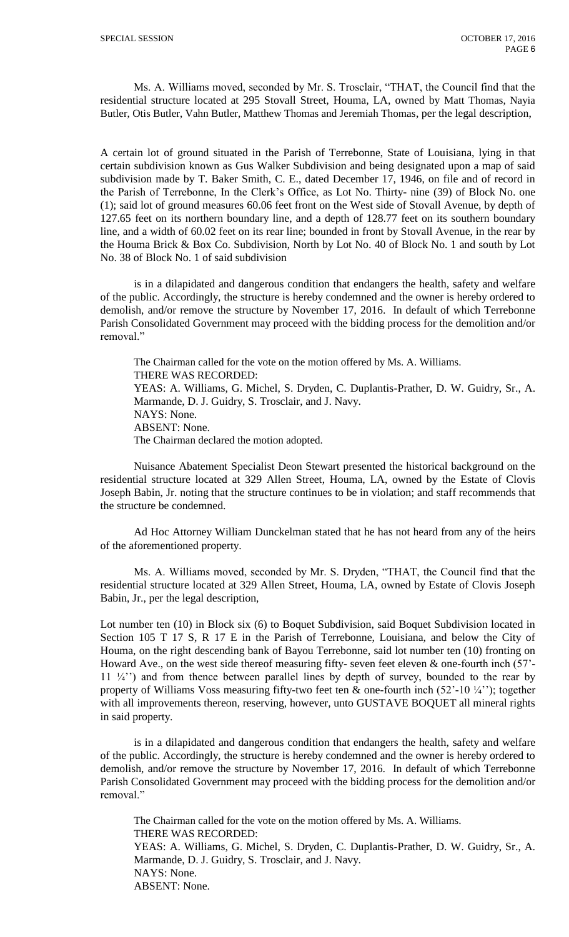Ms. A. Williams moved, seconded by Mr. S. Trosclair, "THAT, the Council find that the residential structure located at 295 Stovall Street, Houma, LA, owned by Matt Thomas, Nayia Butler, Otis Butler, Vahn Butler, Matthew Thomas and Jeremiah Thomas, per the legal description,

A certain lot of ground situated in the Parish of Terrebonne, State of Louisiana, lying in that certain subdivision known as Gus Walker Subdivision and being designated upon a map of said subdivision made by T. Baker Smith, C. E., dated December 17, 1946, on file and of record in the Parish of Terrebonne, In the Clerk's Office, as Lot No. Thirty- nine (39) of Block No. one (1); said lot of ground measures 60.06 feet front on the West side of Stovall Avenue, by depth of 127.65 feet on its northern boundary line, and a depth of 128.77 feet on its southern boundary line, and a width of 60.02 feet on its rear line; bounded in front by Stovall Avenue, in the rear by the Houma Brick & Box Co. Subdivision, North by Lot No. 40 of Block No. 1 and south by Lot No. 38 of Block No. 1 of said subdivision

is in a dilapidated and dangerous condition that endangers the health, safety and welfare of the public. Accordingly, the structure is hereby condemned and the owner is hereby ordered to demolish, and/or remove the structure by November 17, 2016. In default of which Terrebonne Parish Consolidated Government may proceed with the bidding process for the demolition and/or removal."

The Chairman called for the vote on the motion offered by Ms. A. Williams. THERE WAS RECORDED: YEAS: A. Williams, G. Michel, S. Dryden, C. Duplantis-Prather, D. W. Guidry, Sr., A. Marmande, D. J. Guidry, S. Trosclair, and J. Navy. NAYS: None. ABSENT: None. The Chairman declared the motion adopted.

Nuisance Abatement Specialist Deon Stewart presented the historical background on the residential structure located at 329 Allen Street, Houma, LA, owned by the Estate of Clovis Joseph Babin, Jr. noting that the structure continues to be in violation; and staff recommends that the structure be condemned.

Ad Hoc Attorney William Dunckelman stated that he has not heard from any of the heirs of the aforementioned property.

Ms. A. Williams moved, seconded by Mr. S. Dryden, "THAT, the Council find that the residential structure located at 329 Allen Street, Houma, LA, owned by Estate of Clovis Joseph Babin, Jr., per the legal description,

Lot number ten (10) in Block six (6) to Boquet Subdivision, said Boquet Subdivision located in Section 105 T 17 S, R 17 E in the Parish of Terrebonne, Louisiana, and below the City of Houma, on the right descending bank of Bayou Terrebonne, said lot number ten (10) fronting on Howard Ave., on the west side thereof measuring fifty- seven feet eleven & one-fourth inch (57'-  $11 \frac{1}{4}$ ") and from thence between parallel lines by depth of survey, bounded to the rear by property of Williams Voss measuring fifty-two feet ten  $\&$  one-fourth inch (52'-10 $\frac{1}{4}$ ''); together with all improvements thereon, reserving, however, unto GUSTAVE BOQUET all mineral rights in said property.

is in a dilapidated and dangerous condition that endangers the health, safety and welfare of the public. Accordingly, the structure is hereby condemned and the owner is hereby ordered to demolish, and/or remove the structure by November 17, 2016. In default of which Terrebonne Parish Consolidated Government may proceed with the bidding process for the demolition and/or removal."

The Chairman called for the vote on the motion offered by Ms. A. Williams. THERE WAS RECORDED: YEAS: A. Williams, G. Michel, S. Dryden, C. Duplantis-Prather, D. W. Guidry, Sr., A. Marmande, D. J. Guidry, S. Trosclair, and J. Navy. NAYS: None. ABSENT: None.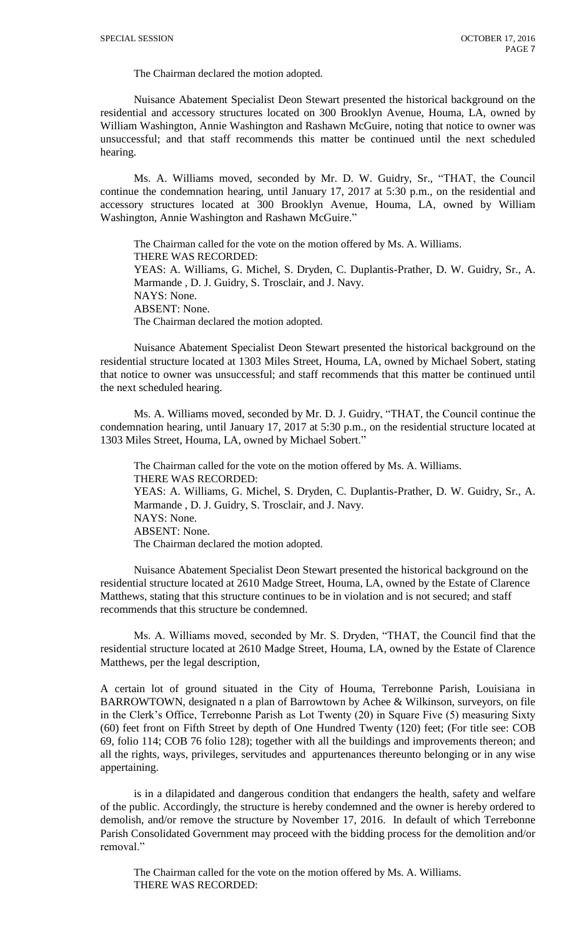The Chairman declared the motion adopted.

Nuisance Abatement Specialist Deon Stewart presented the historical background on the residential and accessory structures located on 300 Brooklyn Avenue, Houma, LA, owned by William Washington, Annie Washington and Rashawn McGuire, noting that notice to owner was unsuccessful; and that staff recommends this matter be continued until the next scheduled hearing.

Ms. A. Williams moved, seconded by Mr. D. W. Guidry, Sr., "THAT, the Council continue the condemnation hearing, until January 17, 2017 at 5:30 p.m., on the residential and accessory structures located at 300 Brooklyn Avenue, Houma, LA, owned by William Washington, Annie Washington and Rashawn McGuire."

The Chairman called for the vote on the motion offered by Ms. A. Williams. THERE WAS RECORDED: YEAS: A. Williams, G. Michel, S. Dryden, C. Duplantis-Prather, D. W. Guidry, Sr., A. Marmande , D. J. Guidry, S. Trosclair, and J. Navy. NAYS: None. ABSENT: None. The Chairman declared the motion adopted.

Nuisance Abatement Specialist Deon Stewart presented the historical background on the residential structure located at 1303 Miles Street, Houma, LA, owned by Michael Sobert, stating that notice to owner was unsuccessful; and staff recommends that this matter be continued until the next scheduled hearing.

Ms. A. Williams moved, seconded by Mr. D. J. Guidry, "THAT, the Council continue the condemnation hearing, until January 17, 2017 at 5:30 p.m., on the residential structure located at 1303 Miles Street, Houma, LA, owned by Michael Sobert."

The Chairman called for the vote on the motion offered by Ms. A. Williams. THERE WAS RECORDED: YEAS: A. Williams, G. Michel, S. Dryden, C. Duplantis-Prather, D. W. Guidry, Sr., A. Marmande , D. J. Guidry, S. Trosclair, and J. Navy. NAYS: None. ABSENT: None. The Chairman declared the motion adopted.

Nuisance Abatement Specialist Deon Stewart presented the historical background on the residential structure located at 2610 Madge Street, Houma, LA, owned by the Estate of Clarence Matthews, stating that this structure continues to be in violation and is not secured; and staff recommends that this structure be condemned.

Ms. A. Williams moved, seconded by Mr. S. Dryden, "THAT, the Council find that the residential structure located at 2610 Madge Street, Houma, LA, owned by the Estate of Clarence Matthews, per the legal description,

A certain lot of ground situated in the City of Houma, Terrebonne Parish, Louisiana in BARROWTOWN, designated n a plan of Barrowtown by Achee & Wilkinson, surveyors, on file in the Clerk's Office, Terrebonne Parish as Lot Twenty (20) in Square Five (5) measuring Sixty (60) feet front on Fifth Street by depth of One Hundred Twenty (120) feet; (For title see: COB 69, folio 114; COB 76 folio 128); together with all the buildings and improvements thereon; and all the rights, ways, privileges, servitudes and appurtenances thereunto belonging or in any wise appertaining.

is in a dilapidated and dangerous condition that endangers the health, safety and welfare of the public. Accordingly, the structure is hereby condemned and the owner is hereby ordered to demolish, and/or remove the structure by November 17, 2016. In default of which Terrebonne Parish Consolidated Government may proceed with the bidding process for the demolition and/or removal."

The Chairman called for the vote on the motion offered by Ms. A. Williams. THERE WAS RECORDED: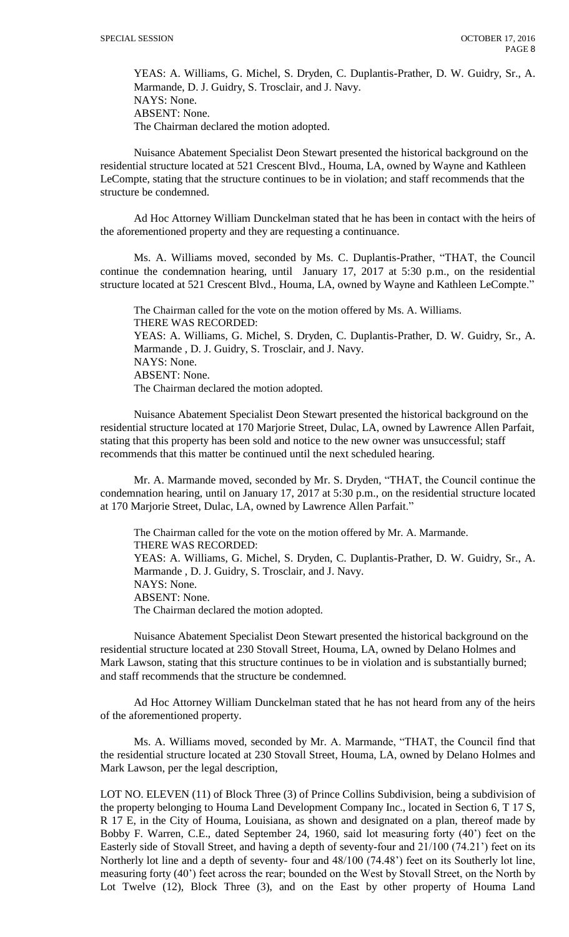YEAS: A. Williams, G. Michel, S. Dryden, C. Duplantis-Prather, D. W. Guidry, Sr., A. Marmande, D. J. Guidry, S. Trosclair, and J. Navy. NAYS: None. ABSENT: None. The Chairman declared the motion adopted.

Nuisance Abatement Specialist Deon Stewart presented the historical background on the residential structure located at 521 Crescent Blvd., Houma, LA, owned by Wayne and Kathleen LeCompte, stating that the structure continues to be in violation; and staff recommends that the structure be condemned.

Ad Hoc Attorney William Dunckelman stated that he has been in contact with the heirs of the aforementioned property and they are requesting a continuance.

Ms. A. Williams moved, seconded by Ms. C. Duplantis-Prather, "THAT, the Council continue the condemnation hearing, until January 17, 2017 at 5:30 p.m., on the residential structure located at 521 Crescent Blvd., Houma, LA, owned by Wayne and Kathleen LeCompte."

The Chairman called for the vote on the motion offered by Ms. A. Williams. THERE WAS RECORDED: YEAS: A. Williams, G. Michel, S. Dryden, C. Duplantis-Prather, D. W. Guidry, Sr., A. Marmande , D. J. Guidry, S. Trosclair, and J. Navy. NAYS: None. ABSENT: None. The Chairman declared the motion adopted.

Nuisance Abatement Specialist Deon Stewart presented the historical background on the residential structure located at 170 Marjorie Street, Dulac, LA, owned by Lawrence Allen Parfait, stating that this property has been sold and notice to the new owner was unsuccessful; staff recommends that this matter be continued until the next scheduled hearing.

Mr. A. Marmande moved, seconded by Mr. S. Dryden, "THAT, the Council continue the condemnation hearing, until on January 17, 2017 at 5:30 p.m., on the residential structure located at 170 Marjorie Street, Dulac, LA, owned by Lawrence Allen Parfait."

The Chairman called for the vote on the motion offered by Mr. A. Marmande. THERE WAS RECORDED: YEAS: A. Williams, G. Michel, S. Dryden, C. Duplantis-Prather, D. W. Guidry, Sr., A. Marmande , D. J. Guidry, S. Trosclair, and J. Navy. NAYS: None. ABSENT: None. The Chairman declared the motion adopted.

Nuisance Abatement Specialist Deon Stewart presented the historical background on the residential structure located at 230 Stovall Street, Houma, LA, owned by Delano Holmes and Mark Lawson, stating that this structure continues to be in violation and is substantially burned; and staff recommends that the structure be condemned.

Ad Hoc Attorney William Dunckelman stated that he has not heard from any of the heirs of the aforementioned property.

Ms. A. Williams moved, seconded by Mr. A. Marmande, "THAT, the Council find that the residential structure located at 230 Stovall Street, Houma, LA, owned by Delano Holmes and Mark Lawson, per the legal description,

LOT NO. ELEVEN (11) of Block Three (3) of Prince Collins Subdivision, being a subdivision of the property belonging to Houma Land Development Company Inc., located in Section 6, T 17 S, R 17 E, in the City of Houma, Louisiana, as shown and designated on a plan, thereof made by Bobby F. Warren, C.E., dated September 24, 1960, said lot measuring forty (40') feet on the Easterly side of Stovall Street, and having a depth of seventy-four and 21/100 (74.21') feet on its Northerly lot line and a depth of seventy- four and 48/100 (74.48') feet on its Southerly lot line, measuring forty (40') feet across the rear; bounded on the West by Stovall Street, on the North by Lot Twelve (12), Block Three (3), and on the East by other property of Houma Land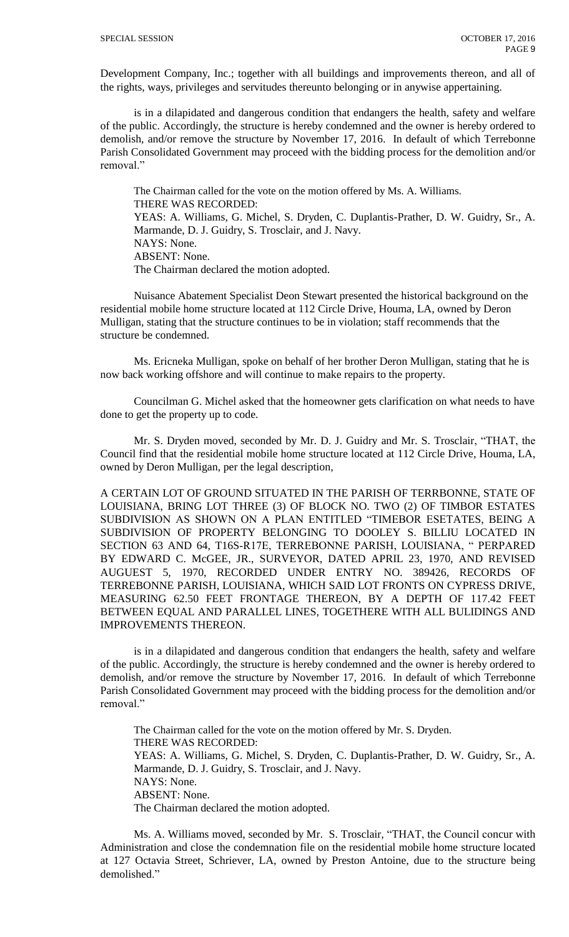Development Company, Inc.; together with all buildings and improvements thereon, and all of the rights, ways, privileges and servitudes thereunto belonging or in anywise appertaining.

is in a dilapidated and dangerous condition that endangers the health, safety and welfare of the public. Accordingly, the structure is hereby condemned and the owner is hereby ordered to demolish, and/or remove the structure by November 17, 2016. In default of which Terrebonne Parish Consolidated Government may proceed with the bidding process for the demolition and/or removal."

The Chairman called for the vote on the motion offered by Ms. A. Williams. THERE WAS RECORDED: YEAS: A. Williams, G. Michel, S. Dryden, C. Duplantis-Prather, D. W. Guidry, Sr., A. Marmande, D. J. Guidry, S. Trosclair, and J. Navy. NAYS: None. ABSENT: None. The Chairman declared the motion adopted.

Nuisance Abatement Specialist Deon Stewart presented the historical background on the residential mobile home structure located at 112 Circle Drive, Houma, LA, owned by Deron Mulligan, stating that the structure continues to be in violation; staff recommends that the structure be condemned.

Ms. Ericneka Mulligan, spoke on behalf of her brother Deron Mulligan, stating that he is now back working offshore and will continue to make repairs to the property.

Councilman G. Michel asked that the homeowner gets clarification on what needs to have done to get the property up to code.

Mr. S. Dryden moved, seconded by Mr. D. J. Guidry and Mr. S. Trosclair, "THAT, the Council find that the residential mobile home structure located at 112 Circle Drive, Houma, LA, owned by Deron Mulligan, per the legal description,

A CERTAIN LOT OF GROUND SITUATED IN THE PARISH OF TERRBONNE, STATE OF LOUISIANA, BRING LOT THREE (3) OF BLOCK NO. TWO (2) OF TIMBOR ESTATES SUBDIVISION AS SHOWN ON A PLAN ENTITLED "TIMEBOR ESETATES, BEING A SUBDIVISION OF PROPERTY BELONGING TO DOOLEY S. BILLIU LOCATED IN SECTION 63 AND 64, T16S-R17E, TERREBONNE PARISH, LOUISIANA, " PERPARED BY EDWARD C. McGEE, JR., SURVEYOR, DATED APRIL 23, 1970, AND REVISED AUGUEST 5, 1970, RECORDED UNDER ENTRY NO. 389426, RECORDS OF TERREBONNE PARISH, LOUISIANA, WHICH SAID LOT FRONTS ON CYPRESS DRIVE, MEASURING 62.50 FEET FRONTAGE THEREON, BY A DEPTH OF 117.42 FEET BETWEEN EQUAL AND PARALLEL LINES, TOGETHERE WITH ALL BULIDINGS AND IMPROVEMENTS THEREON.

is in a dilapidated and dangerous condition that endangers the health, safety and welfare of the public. Accordingly, the structure is hereby condemned and the owner is hereby ordered to demolish, and/or remove the structure by November 17, 2016. In default of which Terrebonne Parish Consolidated Government may proceed with the bidding process for the demolition and/or removal."

The Chairman called for the vote on the motion offered by Mr. S. Dryden. THERE WAS RECORDED: YEAS: A. Williams, G. Michel, S. Dryden, C. Duplantis-Prather, D. W. Guidry, Sr., A. Marmande, D. J. Guidry, S. Trosclair, and J. Navy. NAYS: None. ABSENT: None. The Chairman declared the motion adopted.

Ms. A. Williams moved, seconded by Mr. S. Trosclair, "THAT, the Council concur with Administration and close the condemnation file on the residential mobile home structure located at 127 Octavia Street, Schriever, LA, owned by Preston Antoine, due to the structure being demolished."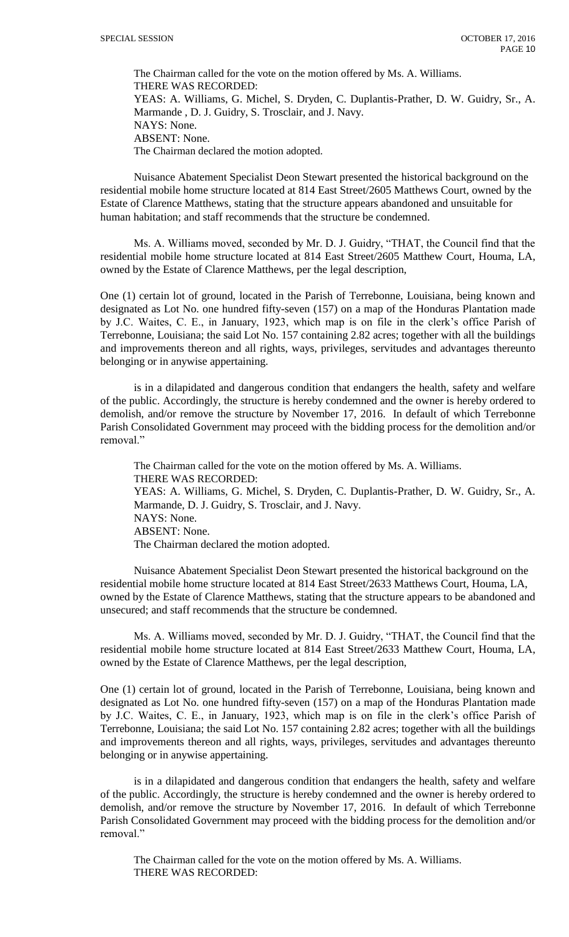The Chairman called for the vote on the motion offered by Ms. A. Williams. THERE WAS RECORDED: YEAS: A. Williams, G. Michel, S. Dryden, C. Duplantis-Prather, D. W. Guidry, Sr., A. Marmande , D. J. Guidry, S. Trosclair, and J. Navy. NAYS: None. ABSENT: None. The Chairman declared the motion adopted.

Nuisance Abatement Specialist Deon Stewart presented the historical background on the residential mobile home structure located at 814 East Street/2605 Matthews Court, owned by the Estate of Clarence Matthews, stating that the structure appears abandoned and unsuitable for human habitation; and staff recommends that the structure be condemned.

Ms. A. Williams moved, seconded by Mr. D. J. Guidry, "THAT, the Council find that the residential mobile home structure located at 814 East Street/2605 Matthew Court, Houma, LA, owned by the Estate of Clarence Matthews, per the legal description,

One (1) certain lot of ground, located in the Parish of Terrebonne, Louisiana, being known and designated as Lot No. one hundred fifty-seven (157) on a map of the Honduras Plantation made by J.C. Waites, C. E., in January, 1923, which map is on file in the clerk's office Parish of Terrebonne, Louisiana; the said Lot No. 157 containing 2.82 acres; together with all the buildings and improvements thereon and all rights, ways, privileges, servitudes and advantages thereunto belonging or in anywise appertaining.

is in a dilapidated and dangerous condition that endangers the health, safety and welfare of the public. Accordingly, the structure is hereby condemned and the owner is hereby ordered to demolish, and/or remove the structure by November 17, 2016. In default of which Terrebonne Parish Consolidated Government may proceed with the bidding process for the demolition and/or removal."

The Chairman called for the vote on the motion offered by Ms. A. Williams. THERE WAS RECORDED: YEAS: A. Williams, G. Michel, S. Dryden, C. Duplantis-Prather, D. W. Guidry, Sr., A. Marmande, D. J. Guidry, S. Trosclair, and J. Navy. NAYS: None. ABSENT: None. The Chairman declared the motion adopted.

Nuisance Abatement Specialist Deon Stewart presented the historical background on the residential mobile home structure located at 814 East Street/2633 Matthews Court, Houma, LA, owned by the Estate of Clarence Matthews, stating that the structure appears to be abandoned and unsecured; and staff recommends that the structure be condemned.

Ms. A. Williams moved, seconded by Mr. D. J. Guidry, "THAT, the Council find that the residential mobile home structure located at 814 East Street/2633 Matthew Court, Houma, LA, owned by the Estate of Clarence Matthews, per the legal description,

One (1) certain lot of ground, located in the Parish of Terrebonne, Louisiana, being known and designated as Lot No. one hundred fifty-seven (157) on a map of the Honduras Plantation made by J.C. Waites, C. E., in January, 1923, which map is on file in the clerk's office Parish of Terrebonne, Louisiana; the said Lot No. 157 containing 2.82 acres; together with all the buildings and improvements thereon and all rights, ways, privileges, servitudes and advantages thereunto belonging or in anywise appertaining.

is in a dilapidated and dangerous condition that endangers the health, safety and welfare of the public. Accordingly, the structure is hereby condemned and the owner is hereby ordered to demolish, and/or remove the structure by November 17, 2016. In default of which Terrebonne Parish Consolidated Government may proceed with the bidding process for the demolition and/or removal."

The Chairman called for the vote on the motion offered by Ms. A. Williams. THERE WAS RECORDED: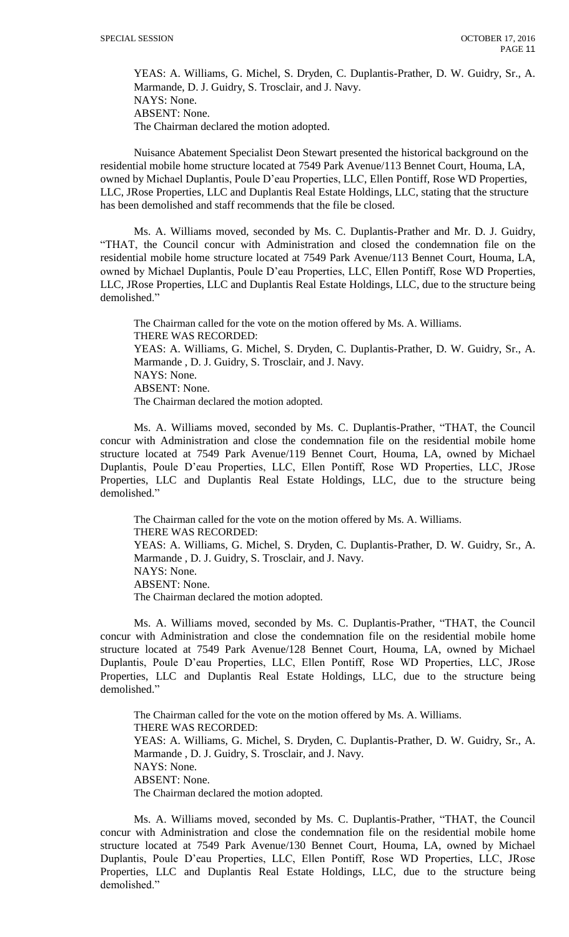YEAS: A. Williams, G. Michel, S. Dryden, C. Duplantis-Prather, D. W. Guidry, Sr., A. Marmande, D. J. Guidry, S. Trosclair, and J. Navy. NAYS: None. ABSENT: None. The Chairman declared the motion adopted.

Nuisance Abatement Specialist Deon Stewart presented the historical background on the residential mobile home structure located at 7549 Park Avenue/113 Bennet Court, Houma, LA, owned by Michael Duplantis, Poule D'eau Properties, LLC, Ellen Pontiff, Rose WD Properties, LLC, JRose Properties, LLC and Duplantis Real Estate Holdings, LLC, stating that the structure has been demolished and staff recommends that the file be closed.

Ms. A. Williams moved, seconded by Ms. C. Duplantis-Prather and Mr. D. J. Guidry, "THAT, the Council concur with Administration and closed the condemnation file on the residential mobile home structure located at 7549 Park Avenue/113 Bennet Court, Houma, LA, owned by Michael Duplantis, Poule D'eau Properties, LLC, Ellen Pontiff, Rose WD Properties, LLC, JRose Properties, LLC and Duplantis Real Estate Holdings, LLC, due to the structure being demolished."

The Chairman called for the vote on the motion offered by Ms. A. Williams. THERE WAS RECORDED: YEAS: A. Williams, G. Michel, S. Dryden, C. Duplantis-Prather, D. W. Guidry, Sr., A. Marmande , D. J. Guidry, S. Trosclair, and J. Navy. NAYS: None. ABSENT: None. The Chairman declared the motion adopted.

Ms. A. Williams moved, seconded by Ms. C. Duplantis-Prather, "THAT, the Council concur with Administration and close the condemnation file on the residential mobile home structure located at 7549 Park Avenue/119 Bennet Court, Houma, LA, owned by Michael Duplantis, Poule D'eau Properties, LLC, Ellen Pontiff, Rose WD Properties, LLC, JRose Properties, LLC and Duplantis Real Estate Holdings, LLC, due to the structure being demolished."

The Chairman called for the vote on the motion offered by Ms. A. Williams. THERE WAS RECORDED: YEAS: A. Williams, G. Michel, S. Dryden, C. Duplantis-Prather, D. W. Guidry, Sr., A. Marmande , D. J. Guidry, S. Trosclair, and J. Navy. NAYS: None. ABSENT: None. The Chairman declared the motion adopted.

Ms. A. Williams moved, seconded by Ms. C. Duplantis-Prather, "THAT, the Council concur with Administration and close the condemnation file on the residential mobile home structure located at 7549 Park Avenue/128 Bennet Court, Houma, LA, owned by Michael Duplantis, Poule D'eau Properties, LLC, Ellen Pontiff, Rose WD Properties, LLC, JRose Properties, LLC and Duplantis Real Estate Holdings, LLC, due to the structure being demolished."

The Chairman called for the vote on the motion offered by Ms. A. Williams. THERE WAS RECORDED: YEAS: A. Williams, G. Michel, S. Dryden, C. Duplantis-Prather, D. W. Guidry, Sr., A. Marmande , D. J. Guidry, S. Trosclair, and J. Navy. NAYS: None. ABSENT: None. The Chairman declared the motion adopted.

Ms. A. Williams moved, seconded by Ms. C. Duplantis-Prather, "THAT, the Council concur with Administration and close the condemnation file on the residential mobile home structure located at 7549 Park Avenue/130 Bennet Court, Houma, LA, owned by Michael Duplantis, Poule D'eau Properties, LLC, Ellen Pontiff, Rose WD Properties, LLC, JRose Properties, LLC and Duplantis Real Estate Holdings, LLC, due to the structure being demolished."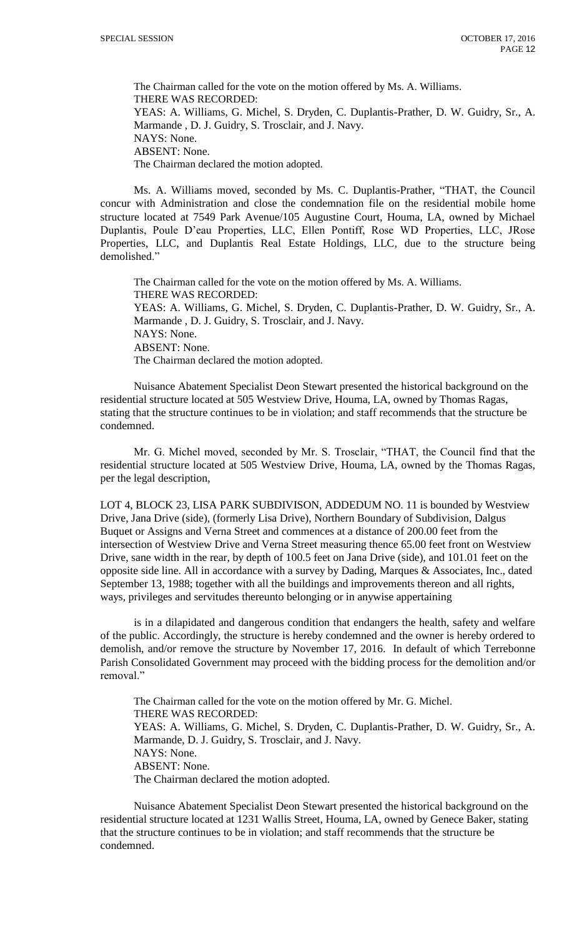The Chairman called for the vote on the motion offered by Ms. A. Williams. THERE WAS RECORDED: YEAS: A. Williams, G. Michel, S. Dryden, C. Duplantis-Prather, D. W. Guidry, Sr., A. Marmande , D. J. Guidry, S. Trosclair, and J. Navy. NAYS: None. ABSENT: None. The Chairman declared the motion adopted.

Ms. A. Williams moved, seconded by Ms. C. Duplantis-Prather, "THAT, the Council concur with Administration and close the condemnation file on the residential mobile home structure located at 7549 Park Avenue/105 Augustine Court, Houma, LA, owned by Michael Duplantis, Poule D'eau Properties, LLC, Ellen Pontiff, Rose WD Properties, LLC, JRose Properties, LLC, and Duplantis Real Estate Holdings, LLC, due to the structure being demolished."

The Chairman called for the vote on the motion offered by Ms. A. Williams. THERE WAS RECORDED: YEAS: A. Williams, G. Michel, S. Dryden, C. Duplantis-Prather, D. W. Guidry, Sr., A. Marmande , D. J. Guidry, S. Trosclair, and J. Navy. NAYS: None. ABSENT: None. The Chairman declared the motion adopted.

Nuisance Abatement Specialist Deon Stewart presented the historical background on the residential structure located at 505 Westview Drive, Houma, LA, owned by Thomas Ragas, stating that the structure continues to be in violation; and staff recommends that the structure be condemned.

Mr. G. Michel moved, seconded by Mr. S. Trosclair, "THAT, the Council find that the residential structure located at 505 Westview Drive, Houma, LA, owned by the Thomas Ragas, per the legal description,

LOT 4, BLOCK 23, LISA PARK SUBDIVISON, ADDEDUM NO. 11 is bounded by Westview Drive, Jana Drive (side), (formerly Lisa Drive), Northern Boundary of Subdivision, Dalgus Buquet or Assigns and Verna Street and commences at a distance of 200.00 feet from the intersection of Westview Drive and Verna Street measuring thence 65.00 feet front on Westview Drive, sane width in the rear, by depth of 100.5 feet on Jana Drive (side), and 101.01 feet on the opposite side line. All in accordance with a survey by Dading, Marques & Associates, Inc., dated September 13, 1988; together with all the buildings and improvements thereon and all rights, ways, privileges and servitudes thereunto belonging or in anywise appertaining

is in a dilapidated and dangerous condition that endangers the health, safety and welfare of the public. Accordingly, the structure is hereby condemned and the owner is hereby ordered to demolish, and/or remove the structure by November 17, 2016. In default of which Terrebonne Parish Consolidated Government may proceed with the bidding process for the demolition and/or removal."

The Chairman called for the vote on the motion offered by Mr. G. Michel. THERE WAS RECORDED: YEAS: A. Williams, G. Michel, S. Dryden, C. Duplantis-Prather, D. W. Guidry, Sr., A. Marmande, D. J. Guidry, S. Trosclair, and J. Navy. NAYS: None. ABSENT: None. The Chairman declared the motion adopted.

Nuisance Abatement Specialist Deon Stewart presented the historical background on the residential structure located at 1231 Wallis Street, Houma, LA, owned by Genece Baker, stating that the structure continues to be in violation; and staff recommends that the structure be condemned.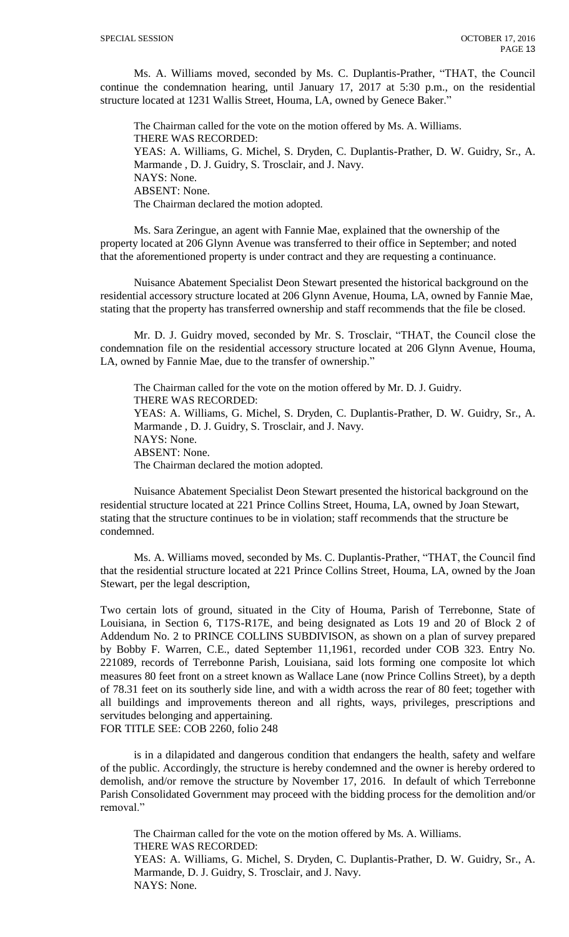Ms. A. Williams moved, seconded by Ms. C. Duplantis-Prather, "THAT, the Council continue the condemnation hearing, until January 17, 2017 at 5:30 p.m., on the residential structure located at 1231 Wallis Street, Houma, LA, owned by Genece Baker."

The Chairman called for the vote on the motion offered by Ms. A. Williams. THERE WAS RECORDED: YEAS: A. Williams, G. Michel, S. Dryden, C. Duplantis-Prather, D. W. Guidry, Sr., A. Marmande , D. J. Guidry, S. Trosclair, and J. Navy. NAYS: None. ABSENT: None. The Chairman declared the motion adopted.

Ms. Sara Zeringue, an agent with Fannie Mae, explained that the ownership of the property located at 206 Glynn Avenue was transferred to their office in September; and noted that the aforementioned property is under contract and they are requesting a continuance.

Nuisance Abatement Specialist Deon Stewart presented the historical background on the residential accessory structure located at 206 Glynn Avenue, Houma, LA, owned by Fannie Mae, stating that the property has transferred ownership and staff recommends that the file be closed.

Mr. D. J. Guidry moved, seconded by Mr. S. Trosclair, "THAT, the Council close the condemnation file on the residential accessory structure located at 206 Glynn Avenue, Houma, LA, owned by Fannie Mae, due to the transfer of ownership."

The Chairman called for the vote on the motion offered by Mr. D. J. Guidry. THERE WAS RECORDED: YEAS: A. Williams, G. Michel, S. Dryden, C. Duplantis-Prather, D. W. Guidry, Sr., A. Marmande , D. J. Guidry, S. Trosclair, and J. Navy. NAYS: None. ABSENT: None. The Chairman declared the motion adopted.

Nuisance Abatement Specialist Deon Stewart presented the historical background on the residential structure located at 221 Prince Collins Street, Houma, LA, owned by Joan Stewart, stating that the structure continues to be in violation; staff recommends that the structure be condemned.

Ms. A. Williams moved, seconded by Ms. C. Duplantis-Prather, "THAT, the Council find that the residential structure located at 221 Prince Collins Street, Houma, LA, owned by the Joan Stewart, per the legal description,

Two certain lots of ground, situated in the City of Houma, Parish of Terrebonne, State of Louisiana, in Section 6, T17S-R17E, and being designated as Lots 19 and 20 of Block 2 of Addendum No. 2 to PRINCE COLLINS SUBDIVISON, as shown on a plan of survey prepared by Bobby F. Warren, C.E., dated September 11,1961, recorded under COB 323. Entry No. 221089, records of Terrebonne Parish, Louisiana, said lots forming one composite lot which measures 80 feet front on a street known as Wallace Lane (now Prince Collins Street), by a depth of 78.31 feet on its southerly side line, and with a width across the rear of 80 feet; together with all buildings and improvements thereon and all rights, ways, privileges, prescriptions and servitudes belonging and appertaining. FOR TITLE SEE: COB 2260, folio 248

is in a dilapidated and dangerous condition that endangers the health, safety and welfare of the public. Accordingly, the structure is hereby condemned and the owner is hereby ordered to demolish, and/or remove the structure by November 17, 2016. In default of which Terrebonne Parish Consolidated Government may proceed with the bidding process for the demolition and/or removal."

The Chairman called for the vote on the motion offered by Ms. A. Williams. THERE WAS RECORDED: YEAS: A. Williams, G. Michel, S. Dryden, C. Duplantis-Prather, D. W. Guidry, Sr., A. Marmande, D. J. Guidry, S. Trosclair, and J. Navy. NAYS: None.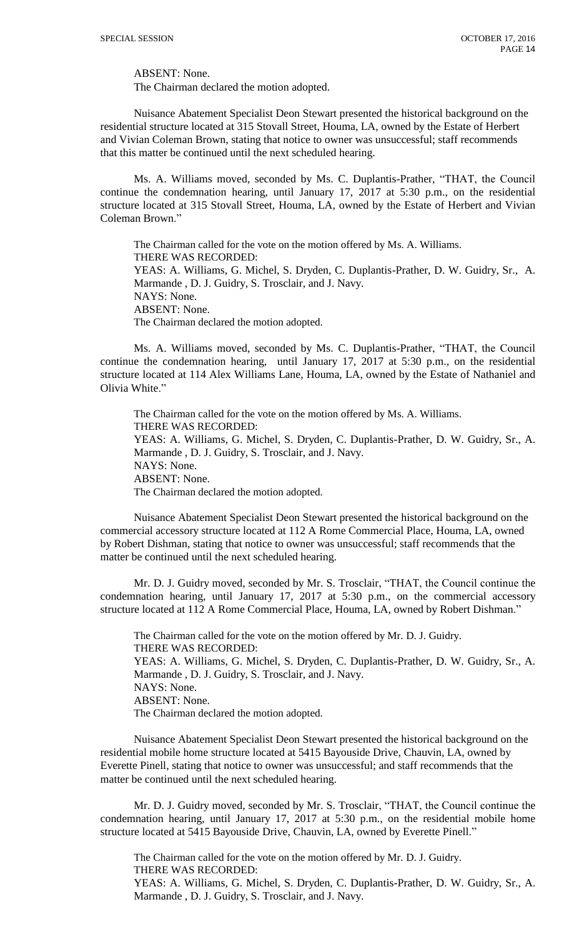ABSENT: None.

The Chairman declared the motion adopted.

Nuisance Abatement Specialist Deon Stewart presented the historical background on the residential structure located at 315 Stovall Street, Houma, LA, owned by the Estate of Herbert and Vivian Coleman Brown, stating that notice to owner was unsuccessful; staff recommends that this matter be continued until the next scheduled hearing.

Ms. A. Williams moved, seconded by Ms. C. Duplantis-Prather, "THAT, the Council continue the condemnation hearing, until January 17, 2017 at 5:30 p.m., on the residential structure located at 315 Stovall Street, Houma, LA, owned by the Estate of Herbert and Vivian Coleman Brown."

The Chairman called for the vote on the motion offered by Ms. A. Williams. THERE WAS RECORDED: YEAS: A. Williams, G. Michel, S. Dryden, C. Duplantis-Prather, D. W. Guidry, Sr., A. Marmande , D. J. Guidry, S. Trosclair, and J. Navy. NAYS: None. ABSENT: None. The Chairman declared the motion adopted.

Ms. A. Williams moved, seconded by Ms. C. Duplantis-Prather, "THAT, the Council continue the condemnation hearing, until January 17, 2017 at 5:30 p.m., on the residential structure located at 114 Alex Williams Lane, Houma, LA, owned by the Estate of Nathaniel and Olivia White."

The Chairman called for the vote on the motion offered by Ms. A. Williams. THERE WAS RECORDED: YEAS: A. Williams, G. Michel, S. Dryden, C. Duplantis-Prather, D. W. Guidry, Sr., A. Marmande , D. J. Guidry, S. Trosclair, and J. Navy. NAYS: None. ABSENT: None. The Chairman declared the motion adopted.

Nuisance Abatement Specialist Deon Stewart presented the historical background on the commercial accessory structure located at 112 A Rome Commercial Place, Houma, LA, owned by Robert Dishman, stating that notice to owner was unsuccessful; staff recommends that the matter be continued until the next scheduled hearing.

Mr. D. J. Guidry moved, seconded by Mr. S. Trosclair, "THAT, the Council continue the condemnation hearing, until January 17, 2017 at 5:30 p.m., on the commercial accessory structure located at 112 A Rome Commercial Place, Houma, LA, owned by Robert Dishman."

The Chairman called for the vote on the motion offered by Mr. D. J. Guidry. THERE WAS RECORDED: YEAS: A. Williams, G. Michel, S. Dryden, C. Duplantis-Prather, D. W. Guidry, Sr., A. Marmande , D. J. Guidry, S. Trosclair, and J. Navy. NAYS: None. ABSENT: None. The Chairman declared the motion adopted.

Nuisance Abatement Specialist Deon Stewart presented the historical background on the residential mobile home structure located at 5415 Bayouside Drive, Chauvin, LA, owned by Everette Pinell, stating that notice to owner was unsuccessful; and staff recommends that the matter be continued until the next scheduled hearing.

Mr. D. J. Guidry moved, seconded by Mr. S. Trosclair, "THAT, the Council continue the condemnation hearing, until January 17, 2017 at 5:30 p.m., on the residential mobile home structure located at 5415 Bayouside Drive, Chauvin, LA, owned by Everette Pinell."

The Chairman called for the vote on the motion offered by Mr. D. J. Guidry. THERE WAS RECORDED: YEAS: A. Williams, G. Michel, S. Dryden, C. Duplantis-Prather, D. W. Guidry, Sr., A. Marmande , D. J. Guidry, S. Trosclair, and J. Navy.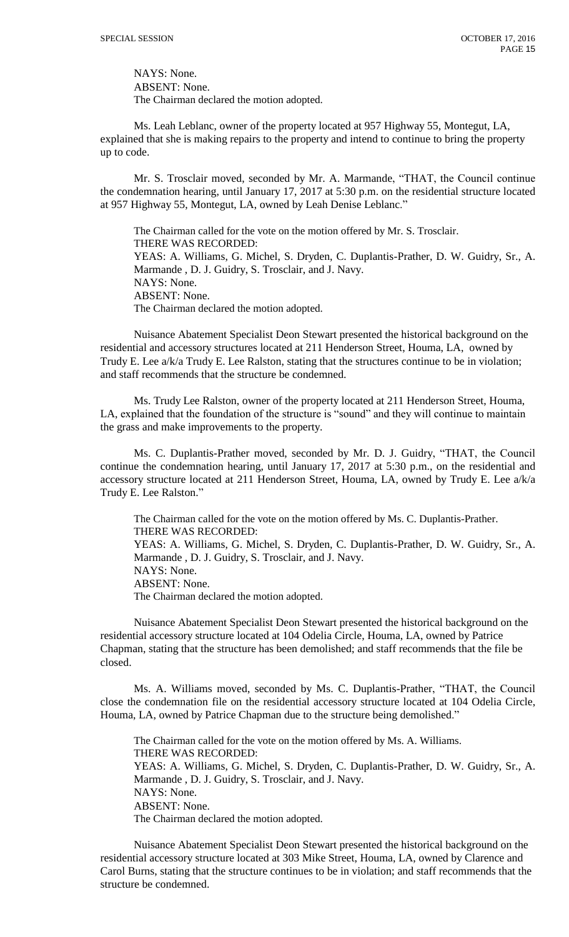NAYS: None. ABSENT: None. The Chairman declared the motion adopted.

Ms. Leah Leblanc, owner of the property located at 957 Highway 55, Montegut, LA, explained that she is making repairs to the property and intend to continue to bring the property up to code.

Mr. S. Trosclair moved, seconded by Mr. A. Marmande, "THAT, the Council continue the condemnation hearing, until January 17, 2017 at 5:30 p.m. on the residential structure located at 957 Highway 55, Montegut, LA, owned by Leah Denise Leblanc."

The Chairman called for the vote on the motion offered by Mr. S. Trosclair. THERE WAS RECORDED: YEAS: A. Williams, G. Michel, S. Dryden, C. Duplantis-Prather, D. W. Guidry, Sr., A. Marmande , D. J. Guidry, S. Trosclair, and J. Navy. NAYS: None. ABSENT: None. The Chairman declared the motion adopted.

Nuisance Abatement Specialist Deon Stewart presented the historical background on the residential and accessory structures located at 211 Henderson Street, Houma, LA, owned by Trudy E. Lee a/k/a Trudy E. Lee Ralston, stating that the structures continue to be in violation; and staff recommends that the structure be condemned.

Ms. Trudy Lee Ralston, owner of the property located at 211 Henderson Street, Houma, LA, explained that the foundation of the structure is "sound" and they will continue to maintain the grass and make improvements to the property.

Ms. C. Duplantis-Prather moved, seconded by Mr. D. J. Guidry, "THAT, the Council continue the condemnation hearing, until January 17, 2017 at 5:30 p.m., on the residential and accessory structure located at 211 Henderson Street, Houma, LA, owned by Trudy E. Lee a/k/a Trudy E. Lee Ralston."

The Chairman called for the vote on the motion offered by Ms. C. Duplantis-Prather. THERE WAS RECORDED: YEAS: A. Williams, G. Michel, S. Dryden, C. Duplantis-Prather, D. W. Guidry, Sr., A. Marmande , D. J. Guidry, S. Trosclair, and J. Navy. NAYS: None. ABSENT: None. The Chairman declared the motion adopted.

Nuisance Abatement Specialist Deon Stewart presented the historical background on the residential accessory structure located at 104 Odelia Circle, Houma, LA, owned by Patrice Chapman, stating that the structure has been demolished; and staff recommends that the file be closed.

Ms. A. Williams moved, seconded by Ms. C. Duplantis-Prather, "THAT, the Council close the condemnation file on the residential accessory structure located at 104 Odelia Circle, Houma, LA, owned by Patrice Chapman due to the structure being demolished."

The Chairman called for the vote on the motion offered by Ms. A. Williams. THERE WAS RECORDED: YEAS: A. Williams, G. Michel, S. Dryden, C. Duplantis-Prather, D. W. Guidry, Sr., A. Marmande , D. J. Guidry, S. Trosclair, and J. Navy. NAYS: None. ABSENT: None. The Chairman declared the motion adopted.

Nuisance Abatement Specialist Deon Stewart presented the historical background on the residential accessory structure located at 303 Mike Street, Houma, LA, owned by Clarence and Carol Burns, stating that the structure continues to be in violation; and staff recommends that the structure be condemned.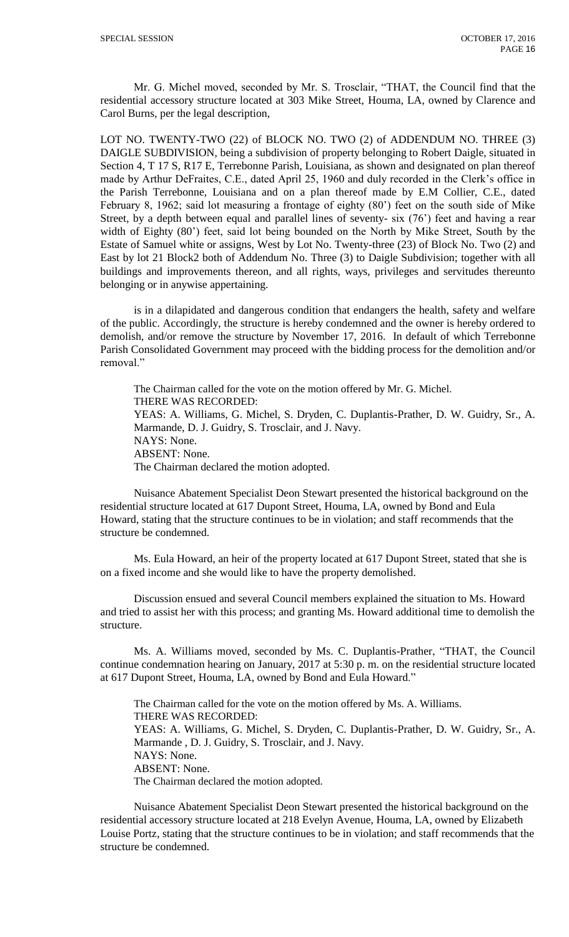Mr. G. Michel moved, seconded by Mr. S. Trosclair, "THAT, the Council find that the residential accessory structure located at 303 Mike Street, Houma, LA, owned by Clarence and Carol Burns, per the legal description,

LOT NO. TWENTY-TWO (22) of BLOCK NO. TWO (2) of ADDENDUM NO. THREE (3) DAIGLE SUBDIVISION, being a subdivision of property belonging to Robert Daigle, situated in Section 4, T 17 S, R17 E, Terrebonne Parish, Louisiana, as shown and designated on plan thereof made by Arthur DeFraites, C.E., dated April 25, 1960 and duly recorded in the Clerk's office in the Parish Terrebonne, Louisiana and on a plan thereof made by E.M Collier, C.E., dated February 8, 1962; said lot measuring a frontage of eighty (80') feet on the south side of Mike Street, by a depth between equal and parallel lines of seventy- six (76') feet and having a rear width of Eighty (80') feet, said lot being bounded on the North by Mike Street, South by the Estate of Samuel white or assigns, West by Lot No. Twenty-three (23) of Block No. Two (2) and East by lot 21 Block2 both of Addendum No. Three (3) to Daigle Subdivision; together with all buildings and improvements thereon, and all rights, ways, privileges and servitudes thereunto belonging or in anywise appertaining.

is in a dilapidated and dangerous condition that endangers the health, safety and welfare of the public. Accordingly, the structure is hereby condemned and the owner is hereby ordered to demolish, and/or remove the structure by November 17, 2016. In default of which Terrebonne Parish Consolidated Government may proceed with the bidding process for the demolition and/or removal."

The Chairman called for the vote on the motion offered by Mr. G. Michel. THERE WAS RECORDED: YEAS: A. Williams, G. Michel, S. Dryden, C. Duplantis-Prather, D. W. Guidry, Sr., A. Marmande, D. J. Guidry, S. Trosclair, and J. Navy. NAYS: None. ABSENT: None. The Chairman declared the motion adopted.

Nuisance Abatement Specialist Deon Stewart presented the historical background on the residential structure located at 617 Dupont Street, Houma, LA, owned by Bond and Eula Howard, stating that the structure continues to be in violation; and staff recommends that the structure be condemned.

Ms. Eula Howard, an heir of the property located at 617 Dupont Street, stated that she is on a fixed income and she would like to have the property demolished.

Discussion ensued and several Council members explained the situation to Ms. Howard and tried to assist her with this process; and granting Ms. Howard additional time to demolish the structure.

Ms. A. Williams moved, seconded by Ms. C. Duplantis-Prather, "THAT, the Council continue condemnation hearing on January, 2017 at 5:30 p. m. on the residential structure located at 617 Dupont Street, Houma, LA, owned by Bond and Eula Howard."

The Chairman called for the vote on the motion offered by Ms. A. Williams. THERE WAS RECORDED: YEAS: A. Williams, G. Michel, S. Dryden, C. Duplantis-Prather, D. W. Guidry, Sr., A. Marmande , D. J. Guidry, S. Trosclair, and J. Navy. NAYS: None. ABSENT: None. The Chairman declared the motion adopted.

Nuisance Abatement Specialist Deon Stewart presented the historical background on the residential accessory structure located at 218 Evelyn Avenue, Houma, LA, owned by Elizabeth Louise Portz, stating that the structure continues to be in violation; and staff recommends that the structure be condemned.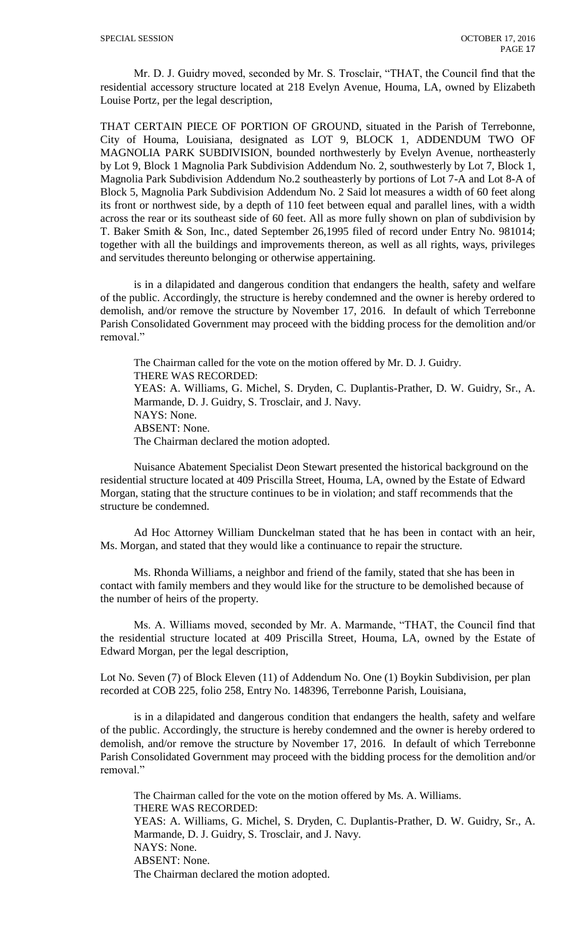Mr. D. J. Guidry moved, seconded by Mr. S. Trosclair, "THAT, the Council find that the residential accessory structure located at 218 Evelyn Avenue, Houma, LA, owned by Elizabeth Louise Portz, per the legal description,

THAT CERTAIN PIECE OF PORTION OF GROUND, situated in the Parish of Terrebonne, City of Houma, Louisiana, designated as LOT 9, BLOCK 1, ADDENDUM TWO OF MAGNOLIA PARK SUBDIVISION, bounded northwesterly by Evelyn Avenue, northeasterly by Lot 9, Block 1 Magnolia Park Subdivision Addendum No. 2, southwesterly by Lot 7, Block 1, Magnolia Park Subdivision Addendum No.2 southeasterly by portions of Lot 7-A and Lot 8-A of Block 5, Magnolia Park Subdivision Addendum No. 2 Said lot measures a width of 60 feet along its front or northwest side, by a depth of 110 feet between equal and parallel lines, with a width across the rear or its southeast side of 60 feet. All as more fully shown on plan of subdivision by T. Baker Smith & Son, Inc., dated September 26,1995 filed of record under Entry No. 981014; together with all the buildings and improvements thereon, as well as all rights, ways, privileges and servitudes thereunto belonging or otherwise appertaining.

is in a dilapidated and dangerous condition that endangers the health, safety and welfare of the public. Accordingly, the structure is hereby condemned and the owner is hereby ordered to demolish, and/or remove the structure by November 17, 2016. In default of which Terrebonne Parish Consolidated Government may proceed with the bidding process for the demolition and/or removal."

The Chairman called for the vote on the motion offered by Mr. D. J. Guidry. THERE WAS RECORDED: YEAS: A. Williams, G. Michel, S. Dryden, C. Duplantis-Prather, D. W. Guidry, Sr., A. Marmande, D. J. Guidry, S. Trosclair, and J. Navy. NAYS: None. ABSENT: None. The Chairman declared the motion adopted.

Nuisance Abatement Specialist Deon Stewart presented the historical background on the residential structure located at 409 Priscilla Street, Houma, LA, owned by the Estate of Edward Morgan, stating that the structure continues to be in violation; and staff recommends that the structure be condemned.

Ad Hoc Attorney William Dunckelman stated that he has been in contact with an heir, Ms. Morgan, and stated that they would like a continuance to repair the structure.

Ms. Rhonda Williams, a neighbor and friend of the family, stated that she has been in contact with family members and they would like for the structure to be demolished because of the number of heirs of the property.

Ms. A. Williams moved, seconded by Mr. A. Marmande, "THAT, the Council find that the residential structure located at 409 Priscilla Street, Houma, LA, owned by the Estate of Edward Morgan, per the legal description,

Lot No. Seven (7) of Block Eleven (11) of Addendum No. One (1) Boykin Subdivision, per plan recorded at COB 225, folio 258, Entry No. 148396, Terrebonne Parish, Louisiana,

is in a dilapidated and dangerous condition that endangers the health, safety and welfare of the public. Accordingly, the structure is hereby condemned and the owner is hereby ordered to demolish, and/or remove the structure by November 17, 2016. In default of which Terrebonne Parish Consolidated Government may proceed with the bidding process for the demolition and/or removal."

The Chairman called for the vote on the motion offered by Ms. A. Williams. THERE WAS RECORDED: YEAS: A. Williams, G. Michel, S. Dryden, C. Duplantis-Prather, D. W. Guidry, Sr., A. Marmande, D. J. Guidry, S. Trosclair, and J. Navy. NAYS: None. ABSENT: None. The Chairman declared the motion adopted.